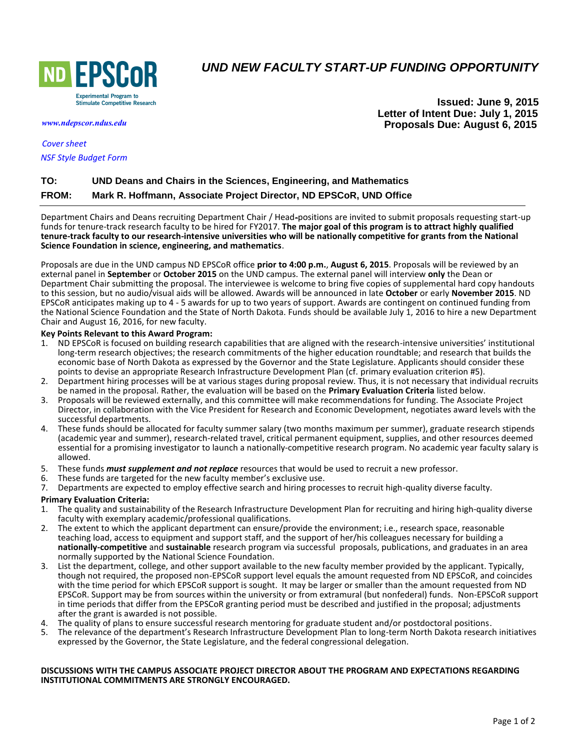

# *UND NEW FACULTY START-UP FUNDING OPPORTUNITY*

*[www.ndepscor.ndus.edu](https://www.ndepscor.ndus.edu)*

*[Cover sheet](https://www.ndepscor.ndus.edu/fileadmin/ndus/ndepscor/NewFacultyStUp/UNDNFStUpCovSht-pdfwebForm2015.pdf) [NSF Style Budget Form](https://www.ndepscor.ndus.edu/fileadmin/ndus/ndepscor/NewFacultyStUp/UNDNFStUpBdgtSheet2014.xls)*

**Issued: June 9, 2015 Letter of Intent Due: July 1, 2015 Proposals Due: August 6, 2015**

# **TO: UND Deans and Chairs in the Sciences, Engineering, and Mathematics FROM: Mark R. Hoffmann, Associate Project Director, ND EPSCoR, UND Office**

Department Chairs and Deans recruiting Department Chair / Head-positions are invited to submit proposals requesting start-up funds for tenure-track research faculty to be hired for FY2017. **The major goal of this program is to attract highly qualified tenure-track faculty to our research-intensive universities who will be nationally competitive for grants from the National Science Foundation in science, engineering, and mathematics**.

Proposals are due in the UND campus ND EPSCoR office **prior to 4:00 p.m.**, **August 6, 2015**. Proposals will be reviewed by an external panel in **September** or **October 2015** on the UND campus. The external panel will interview **only** the Dean or Department Chair submitting the proposal. The interviewee is welcome to bring five copies of supplemental hard copy handouts to this session, but no audio/visual aids will be allowed. Awards will be announced in late **October** or early **November 2015**. ND EPSCoR anticipates making up to 4 - 5 awards for up to two years of support. Awards are contingent on continued funding from the National Science Foundation and the State of North Dakota. Funds should be available July 1, 2016 to hire a new Department Chair and August 16, 2016, for new faculty.

## **Key Points Relevant to this Award Program:**

- 1. ND EPSCoR is focused on building research capabilities that are aligned with the research-intensive universities' institutional long-term research objectives; the research commitments of the higher education roundtable; and research that builds the economic base of North Dakota as expressed by the Governor and the State Legislature. Applicants should consider these points to devise an appropriate Research Infrastructure Development Plan (cf. primary evaluation criterion #5).
- 2. Department hiring processes will be at various stages during proposal review. Thus, it is not necessary that individual recruits be named in the proposal. Rather, the evaluation will be based on the **Primary Evaluation Criteria** listed below.
- 3. Proposals will be reviewed externally, and this committee will make recommendations for funding. The Associate Project Director, in collaboration with the Vice President for Research and Economic Development, negotiates award levels with the successful departments.
- 4. These funds should be allocated for faculty summer salary (two months maximum per summer), graduate research stipends (academic year and summer), research-related travel, critical permanent equipment, supplies, and other resources deemed essential for a promising investigator to launch a nationally-competitive research program. No academic year faculty salary is allowed.
- 5. These funds *must supplement and not replace* resources that would be used to recruit a new professor.
- 6. These funds are targeted for the new faculty member's exclusive use.
- 7. Departments are expected to employ effective search and hiring processes to recruit high-quality diverse faculty.

### **Primary Evaluation Criteria:**

- 1. The quality and sustainability of the Research Infrastructure Development Plan for recruiting and hiring high-quality diverse faculty with exemplary academic/professional qualifications.
- 2. The extent to which the applicant department can ensure/provide the environment; i.e., research space, reasonable teaching load, access to equipment and support staff, and the support of her/his colleagues necessary for building a **nationally-competitive** and **sustainable** research program via successful proposals, publications, and graduates in an area normally supported by the National Science Foundation.
- 3. List the department, college, and other support available to the new faculty member provided by the applicant. Typically, though not required, the proposed non-EPSCoR support level equals the amount requested from ND EPSCoR, and coincides with the time period for which EPSCoR support is sought. It may be larger or smaller than the amount requested from ND EPSCoR. Support may be from sources within the university or from extramural (but nonfederal) funds. Non-EPSCoR support in time periods that differ from the EPSCoR granting period must be described and justified in the proposal; adjustments after the grant is awarded is not possible.
- 4. The quality of plans to ensure successful research mentoring for graduate student and/or postdoctoral positions.
- 5. The relevance of the department's Research Infrastructure Development Plan to long-term North Dakota research initiatives expressed by the Governor, the State Legislature, and the federal congressional delegation.

#### **DISCUSSIONS WITH THE CAMPUS ASSOCIATE PROJECT DIRECTOR ABOUT THE PROGRAM AND EXPECTATIONS REGARDING INSTITUTIONAL COMMITMENTS ARE STRONGLY ENCOURAGED.**